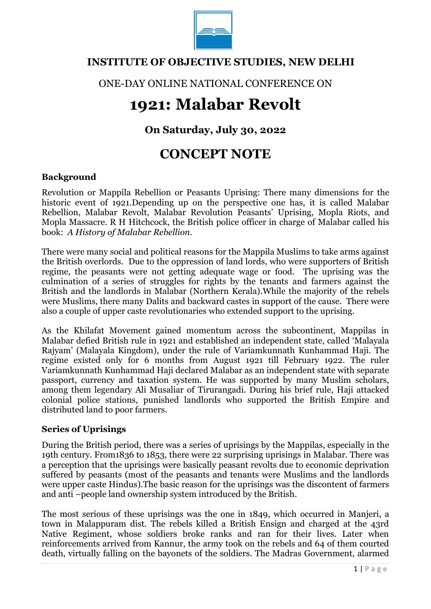

### **INSTITUTE OF OBJECTIVE STUDIES, NEW DELHI**

ONE-DAY ONLINE NATIONAL CONFERENCE ON

# **1921: Malabar Revolt**

## **On Saturday, July 30, 2022**

## **CONCEPT NOTE**

#### **Background**

Revolution or Mappila Rebellion or Peasants Uprising: There many dimensions for the historic event of 1921.Depending up on the perspective one has, it is called Malabar Rebellion, Malabar Revolt, Malabar Revolution Peasants' Uprising, Mopla Riots, and Mopla Massacre. R H Hitchcock, the British police officer in charge of Malabar called his book: *A History of Malabar Rebellion*.

There were many social and political reasons for the Mappila Muslims to take arms against the British overlords. Due to the oppression of land lords, who were supporters of British regime, the peasants were not getting adequate wage or food. The uprising was the culmination of a series of struggles for rights by the tenants and farmers against the British and the landlords in Malabar (Northern Kerala).While the majority of the rebels were Muslims, there many Dalits and backward castes in support of the cause. There were also a couple of upper caste revolutionaries who extended support to the uprising.

As the Khilafat Movement gained momentum across the subcontinent, Mappilas in Malabar defied British rule in 1921 and established an independent state, called 'Malayala Rajyam' (Malayala Kingdom), under the rule of Variamkunnath Kunhammad Haji. The regime existed only for 6 months from August 1921 till February 1922. The ruler Variamkunnath Kunhammad Haji declared Malabar as an independent state with separate passport, currency and taxation system. He was supported by many Muslim scholars, among them legendary Ali Musaliar of Tirurangadi. During his brief rule, Haji attacked colonial police stations, punished landlords who supported the British Empire and distributed land to poor farmers.

#### **Series of Uprisings**

During the British period, there was a series of uprisings by the Mappilas, especially in the 19th century. From1836 to 1853, there were 22 surprising uprisings in Malabar. There was a perception that the uprisings were basically peasant revolts due to economic deprivation suffered by peasants (most of the peasants and tenants were Muslims and the landlords were upper caste Hindus).The basic reason for the uprisings was the discontent of farmers and anti –people land ownership system introduced by the British.

The most serious of these uprisings was the one in 1849, which occurred in Manjeri, a town in Malappuram dist. The rebels killed a British Ensign and charged at the 43rd Native Regiment, whose soldiers broke ranks and ran for their lives. Later when reinforcements arrived from Kannur, the army took on the rebels and 64 of them courted death, virtually falling on the bayonets of the soldiers. The Madras Government, alarmed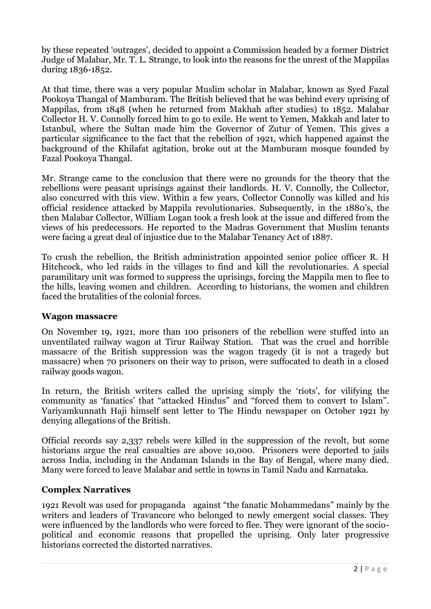by these repeated 'outrages', decided to appoint a Commission headed by a former District Judge of Malabar, Mr. T. L. Strange, to look into the reasons for the unrest of the Mappilas during 1836-1852.

At that time, there was a very popular Muslim scholar in Malabar, known as Syed Fazal Pookoya Thangal of Mamburam. The British believed that he was behind every uprising of Mappilas, from 1848 (when he returned from Makhah after studies) to 1852. Malabar Collector H. V. Connolly forced him to go to exile. He went to Yemen, Makkah and later to Istanbul, where the Sultan made him the Governor of Zutur of Yemen. This gives a particular significance to the fact that the rebellion of 1921, which happened against the background of the Khilafat agitation, broke out at the Mamburam mosque founded by Fazal Pookoya Thangal.

Mr. Strange came to the conclusion that there were no grounds for the theory that the rebellions were peasant uprisings against their landlords. H. V. Connolly, the Collector, also concurred with this view. Within a few years, Collector Connolly was killed and his official residence attacked by Mappila revolutionaries. Subsequently, in the 1880's, the then Malabar Collector, William Logan took a fresh look at the issue and differed from the views of his predecessors. He reported to the Madras Government that Muslim tenants were facing a great deal of injustice due to the Malabar Tenancy Act of 1887.

To crush the rebellion, the British administration appointed senior police officer R. H Hitchcock, who led raids in the villages to find and kill the revolutionaries. A special paramilitary unit was formed to suppress the uprisings, forcing the Mappila men to flee to the hills, leaving women and children. According to historians, the women and children faced the brutalities of the colonial forces.

#### **Wagon massacre**

On November 19, 1921, more than 100 prisoners of the rebellion were stuffed into an unventilated railway wagon at Tirur Railway Station. That was the cruel and horrible massacre of the British suppression was the wagon tragedy (it is not a tragedy but massacre) when 70 prisoners on their way to prison, were suffocated to death in a closed railway goods wagon.

In return, the British writers called the uprising simply the 'riots', for vilifying the community as 'fanatics' that "attacked Hindus" and "forced them to convert to Islam". Variyamkunnath Haji himself sent letter to The Hindu newspaper on October 1921 by denying allegations of the British.

Official records say 2,337 rebels were killed in the suppression of the revolt, but some historians argue the real casualties are above 10,000. Prisoners were deported to jails across India, including in the Andaman Islands in the Bay of Bengal, where many died. Many were forced to leave Malabar and settle in towns in Tamil Nadu and Karnataka.

#### **Complex Narratives**

1921 Revolt was used for propaganda against "the fanatic Mohammedans" mainly by the writers and leaders of Travancore who belonged to newly emergent social classes. They were influenced by the landlords who were forced to flee. They were ignorant of the sociopolitical and economic reasons that propelled the uprising. Only later progressive historians corrected the distorted narratives.